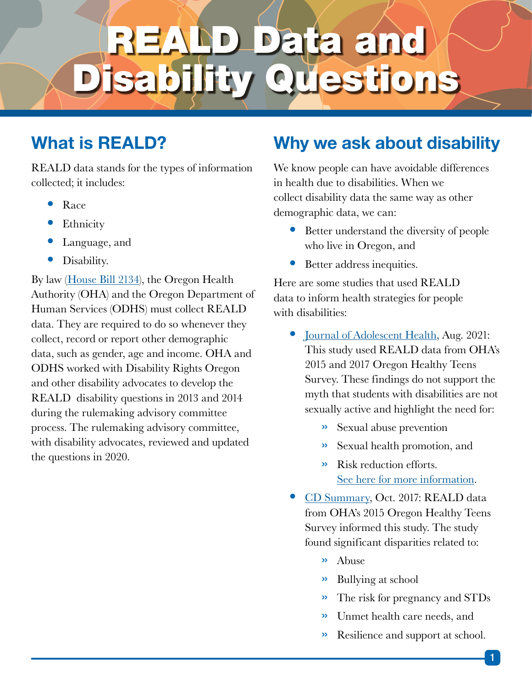# ata and estions

#### What is REALD?

REALD data stands for the types of information collected; it includes:

- Race
- **Ethnicity**
- Language, and
- Disability.

By law ([House Bill 2134](https://www.oregon.gov/oha/OEI/REALD Documents/HB2134.pdf)), the Oregon Health Authority (OHA) and the Oregon Department of Human Services (ODHS) must collect REALD data. They are required to do so whenever they collect, record or report other demographic data, such as gender, age and income. OHA and ODHS worked with Disability Rights Oregon and other disability advocates to develop the REALD disability questions in 2013 and 2014 during the rulemaking advisory committee process. The rulemaking advisory committee, with disability advocates, reviewed and updated the questions in 2020.

#### Why we ask about disability

We know people can have avoidable differences in health due to disabilities. When we collect disability data the same way as other demographic data, we can:

- Better understand the diversity of people who live in Oregon, and
- Better address inequities.

Here are some studies that used REALD data to inform health strategies for people with disabilities:

- [Journal of Adolescent Health,](https://www.jahonline.org/article/S1054-139X(21)00111-7/fulltext) Aug. 2021: This study used REALD data from OHA's 2015 and 2017 Oregon Healthy Teens Survey. These findings do not support the myth that students with disabilities are not sexually active and highlight the need for:
	- » Sexual abuse prevention
	- » Sexual health promotion, and
	- » Risk reduction efforts. [See here for more information.](https://sharedsystems.dhsoha.state.or.us/DHSForms/Served/le3585B.pdf)
- [CD Summary](https://www.oregon.gov/oha/PH/DISEASESCONDITIONS/COMMUNICABLEDISEASE/CDSUMMARYNEWSLETTER/Documents/2017/ohd6610.pdf), Oct. 2017: REALD data from OHA's 2015 Oregon Healthy Teens Survey informed this study. The study found significant disparities related to:
	- » Abuse
	- » Bullying at school
	- » The risk for pregnancy and STDs
	- » Unmet health care needs, and
	- » Resilience and support at school.